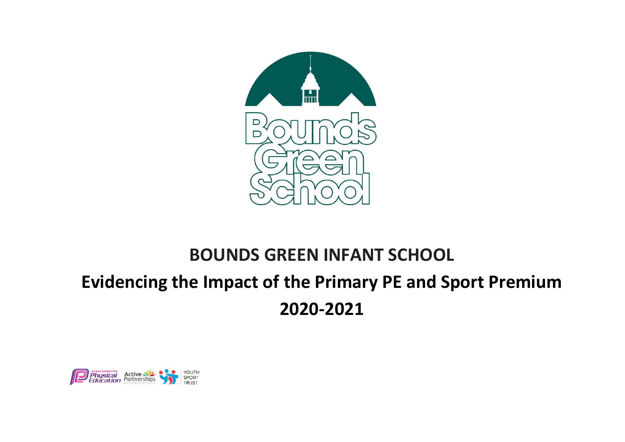

## **BOUNDS GREEN INFANT SCHOOL**

## **Evidencing the Impact of the Primary PE and Sport Premium 2020-2021**

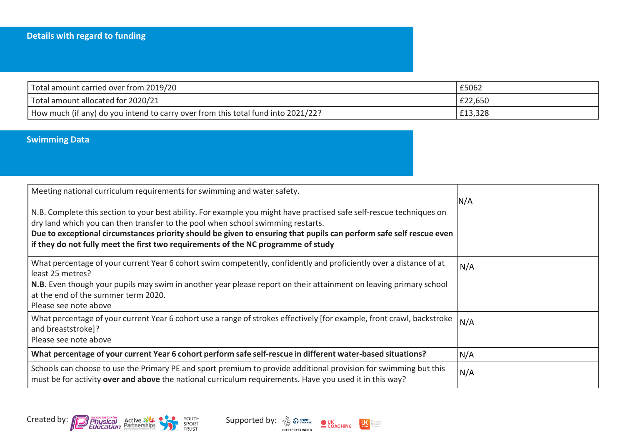| Total amount carried over from 2019/20 |                                                                                  | £5062   |
|----------------------------------------|----------------------------------------------------------------------------------|---------|
|                                        | Total amount allocated for 2020/21                                               | £22,650 |
|                                        | How much (if any) do you intend to carry over from this total fund into 2021/22? | £13,328 |

## **Swimming Data**

| Meeting national curriculum requirements for swimming and water safety.<br>N.B. Complete this section to your best ability. For example you might have practised safe self-rescue techniques on<br>dry land which you can then transfer to the pool when school swimming restarts.<br>Due to exceptional circumstances priority should be given to ensuring that pupils can perform safe self rescue even<br>if they do not fully meet the first two requirements of the NC programme of study | N/A |
|------------------------------------------------------------------------------------------------------------------------------------------------------------------------------------------------------------------------------------------------------------------------------------------------------------------------------------------------------------------------------------------------------------------------------------------------------------------------------------------------|-----|
| What percentage of your current Year 6 cohort swim competently, confidently and proficiently over a distance of at<br>least 25 metres?<br>N.B. Even though your pupils may swim in another year please report on their attainment on leaving primary school<br>at the end of the summer term 2020.<br>Please see note above                                                                                                                                                                    | N/A |
| What percentage of your current Year 6 cohort use a range of strokes effectively [for example, front crawl, backstroke<br>and breaststroke]?<br>Please see note above                                                                                                                                                                                                                                                                                                                          | N/A |
| What percentage of your current Year 6 cohort perform safe self-rescue in different water-based situations?                                                                                                                                                                                                                                                                                                                                                                                    | N/A |
| Schools can choose to use the Primary PE and sport premium to provide additional provision for swimming but this<br>must be for activity over and above the national curriculum requirements. Have you used it in this way?                                                                                                                                                                                                                                                                    | N/A |



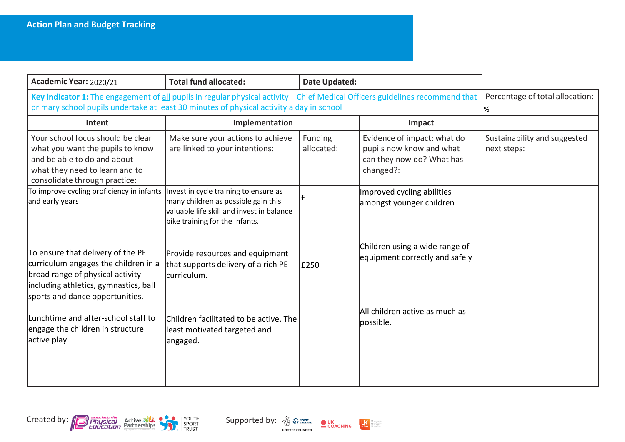| Academic Year: 2020/21                                                                                                                                                                                                    | <b>Total fund allocated:</b>                                                                                                                                | <b>Date Updated:</b>  |                                                                                                   |                                             |
|---------------------------------------------------------------------------------------------------------------------------------------------------------------------------------------------------------------------------|-------------------------------------------------------------------------------------------------------------------------------------------------------------|-----------------------|---------------------------------------------------------------------------------------------------|---------------------------------------------|
| Key indicator 1: The engagement of all pupils in regular physical activity - Chief Medical Officers guidelines recommend that<br>primary school pupils undertake at least 30 minutes of physical activity a day in school | Percentage of total allocation:<br>1%                                                                                                                       |                       |                                                                                                   |                                             |
| Intent                                                                                                                                                                                                                    | Implementation                                                                                                                                              |                       | Impact                                                                                            |                                             |
| Your school focus should be clear<br>what you want the pupils to know<br>and be able to do and about<br>what they need to learn and to<br>consolidate through practice:                                                   | Make sure your actions to achieve<br>are linked to your intentions:                                                                                         | Funding<br>allocated: | Evidence of impact: what do<br>pupils now know and what<br>can they now do? What has<br>changed?: | Sustainability and suggested<br>next steps: |
| To improve cycling proficiency in infants<br>and early years                                                                                                                                                              | Invest in cycle training to ensure as<br>many children as possible gain this<br>valuable life skill and invest in balance<br>bike training for the Infants. | £                     | Improved cycling abilities<br>amongst younger children                                            |                                             |
| To ensure that delivery of the PE<br>curriculum engages the children in a<br>broad range of physical activity<br>including athletics, gymnastics, ball<br>sports and dance opportunities.                                 | Provide resources and equipment<br>that supports delivery of a rich PE<br>lcurriculum.                                                                      | £250                  | Children using a wide range of<br>equipment correctly and safely                                  |                                             |
| Lunchtime and after-school staff to<br>engage the children in structure<br>active play.                                                                                                                                   | Children facilitated to be active. The<br>least motivated targeted and<br>engaged.                                                                          |                       | All children active as much as<br>bossible.                                                       |                                             |





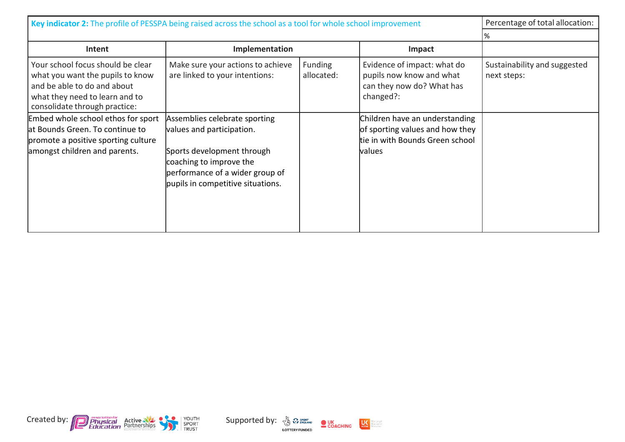| Key indicator 2: The profile of PESSPA being raised across the school as a tool for whole school improvement                                                            |                                                                                                                                                                                             |                       |                                                                                                                | Percentage of total allocation:             |
|-------------------------------------------------------------------------------------------------------------------------------------------------------------------------|---------------------------------------------------------------------------------------------------------------------------------------------------------------------------------------------|-----------------------|----------------------------------------------------------------------------------------------------------------|---------------------------------------------|
|                                                                                                                                                                         |                                                                                                                                                                                             |                       |                                                                                                                | ℅                                           |
| Intent                                                                                                                                                                  | Implementation                                                                                                                                                                              |                       | Impact                                                                                                         |                                             |
| Your school focus should be clear<br>what you want the pupils to know<br>and be able to do and about<br>what they need to learn and to<br>consolidate through practice: | Make sure your actions to achieve<br>are linked to your intentions:                                                                                                                         | Funding<br>allocated: | Evidence of impact: what do<br>pupils now know and what<br>can they now do? What has<br>changed?:              | Sustainability and suggested<br>next steps: |
| Embed whole school ethos for sport<br>at Bounds Green. To continue to<br>promote a positive sporting culture<br>amongst children and parents.                           | Assemblies celebrate sporting<br>values and participation.<br>Sports development through<br>coaching to improve the<br>performance of a wider group of<br>pupils in competitive situations. |                       | Children have an understanding<br>of sporting values and how they<br>tie in with Bounds Green school<br>values |                                             |





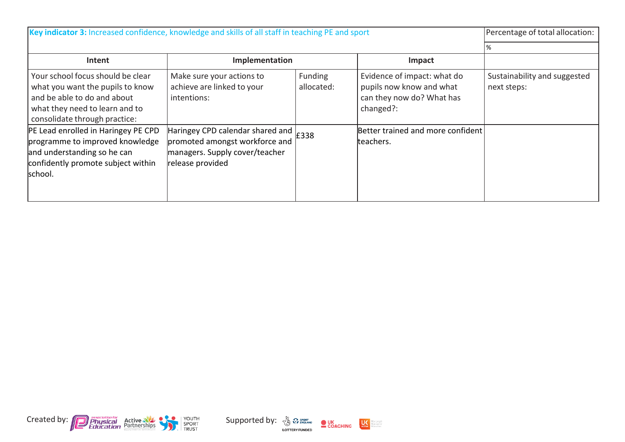| Key indicator 3: Increased confidence, knowledge and skills of all staff in teaching PE and sport                                                                       |                                                                                                                               |                       |                                                                                                   | Percentage of total allocation:             |
|-------------------------------------------------------------------------------------------------------------------------------------------------------------------------|-------------------------------------------------------------------------------------------------------------------------------|-----------------------|---------------------------------------------------------------------------------------------------|---------------------------------------------|
|                                                                                                                                                                         |                                                                                                                               |                       |                                                                                                   |                                             |
| Intent                                                                                                                                                                  | Implementation                                                                                                                |                       | Impact                                                                                            |                                             |
| Your school focus should be clear<br>what you want the pupils to know<br>and be able to do and about<br>what they need to learn and to<br>consolidate through practice: | Make sure your actions to<br>achieve are linked to your<br>intentions:                                                        | Funding<br>allocated: | Evidence of impact: what do<br>pupils now know and what<br>can they now do? What has<br>changed?: | Sustainability and suggested<br>next steps: |
| PE Lead enrolled in Haringey PE CPD<br>programme to improved knowledge<br>and understanding so he can<br>confidently promote subject within<br>school.                  | Haringey CPD calendar shared and E338<br>promoted amongst workforce and<br>managers. Supply cover/teacher<br>release provided |                       | Better trained and more confident<br>teachers.                                                    |                                             |





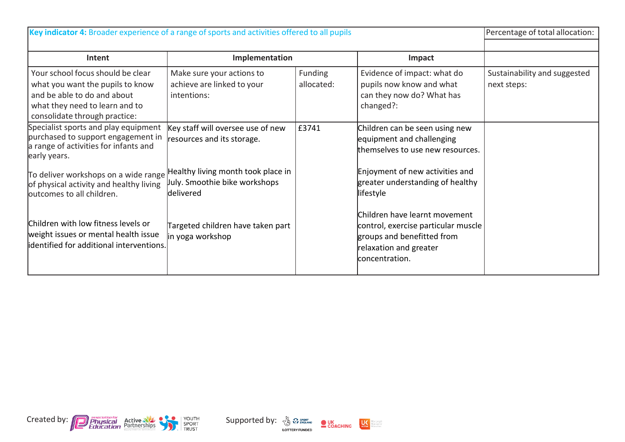| Key indicator 4: Broader experience of a range of sports and activities offered to all pupils                                                                           | Percentage of total allocation:                                                         |                              |                                                                                                                                                |                                             |
|-------------------------------------------------------------------------------------------------------------------------------------------------------------------------|-----------------------------------------------------------------------------------------|------------------------------|------------------------------------------------------------------------------------------------------------------------------------------------|---------------------------------------------|
| Intent                                                                                                                                                                  | Implementation                                                                          |                              | Impact                                                                                                                                         |                                             |
| Your school focus should be clear<br>what you want the pupils to know<br>and be able to do and about<br>what they need to learn and to<br>consolidate through practice: | Make sure your actions to<br>achieve are linked to your<br>intentions:                  | <b>Funding</b><br>allocated: | Evidence of impact: what do<br>pupils now know and what<br>can they now do? What has<br>changed?:                                              | Sustainability and suggested<br>next steps: |
| Specialist sports and play equipment<br>purchased to support engagement in<br>a range of activities for infants and<br>early years.                                     | Key staff will oversee use of new<br>resources and its storage.                         | £3741                        | Children can be seen using new<br>equipment and challenging<br>themselves to use new resources.                                                |                                             |
| To deliver workshops on a wide range<br>of physical activity and healthy living<br>outcomes to all children.                                                            | Healthy living month took place in<br>July. Smoothie bike workshops<br><b>delivered</b> |                              | Enjoyment of new activities and<br>greater understanding of healthy<br>lifestyle                                                               |                                             |
| Children with low fitness levels or<br>weight issues or mental health issue<br>identified for additional interventions.                                                 | Targeted children have taken part<br>in yoga workshop                                   |                              | Children have learnt movement<br>control, exercise particular muscle<br>groups and benefitted from<br>relaxation and greater<br>concentration. |                                             |